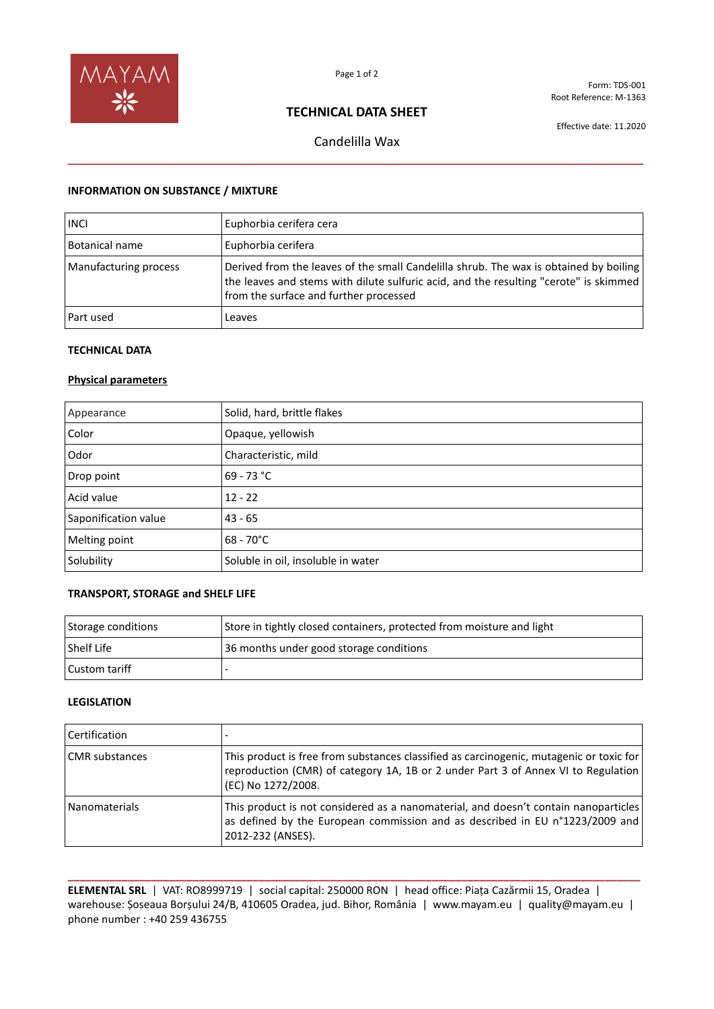

Form: TDS-001 Root Reference: M-1363

# **TECHNICAL DATA SHEET**

Effective date: 11.2020

Candelilla Wax **\_\_\_\_\_\_\_\_\_\_\_\_\_\_\_\_\_\_\_\_\_\_\_\_\_\_\_\_\_\_\_\_\_\_\_\_\_\_\_\_\_\_\_\_\_\_\_\_\_\_\_\_\_\_\_\_\_\_\_\_\_\_\_\_\_\_\_\_\_\_\_\_\_\_\_\_\_\_\_\_**

## **INFORMATION ON SUBSTANCE / MIXTURE**

| <b>INCI</b>           | Euphorbia cerifera cera                                                                                                                                                                                                  |
|-----------------------|--------------------------------------------------------------------------------------------------------------------------------------------------------------------------------------------------------------------------|
| Botanical name        | Euphorbia cerifera                                                                                                                                                                                                       |
| Manufacturing process | Derived from the leaves of the small Candelilla shrub. The wax is obtained by boiling<br>the leaves and stems with dilute sulfuric acid, and the resulting "cerote" is skimmed<br>from the surface and further processed |
| Part used             | Leaves                                                                                                                                                                                                                   |

## **TECHNICAL DATA**

### **Physical parameters**

| Appearance           | Solid, hard, brittle flakes        |
|----------------------|------------------------------------|
| Color                | Opaque, yellowish                  |
| Odor                 | Characteristic, mild               |
| Drop point           | 69 - 73 °C                         |
| Acid value           | $12 - 22$                          |
| Saponification value | $43 - 65$                          |
| Melting point        | $68 - 70^{\circ}$ C                |
| Solubility           | Soluble in oil, insoluble in water |

## **TRANSPORT, STORAGE and SHELF LIFE**

| Storage conditions   | Store in tightly closed containers, protected from moisture and light |
|----------------------|-----------------------------------------------------------------------|
| <b>Shelf Life</b>    | 36 months under good storage conditions                               |
| <b>Custom tariff</b> |                                                                       |

#### **LEGISLATION**

| <b>Certification</b>  |                                                                                                                                                                                                    |
|-----------------------|----------------------------------------------------------------------------------------------------------------------------------------------------------------------------------------------------|
| <b>CMR</b> substances | This product is free from substances classified as carcinogenic, mutagenic or toxic for<br>reproduction (CMR) of category 1A, 1B or 2 under Part 3 of Annex VI to Regulation<br>(EC) No 1272/2008. |
| Nanomaterials         | This product is not considered as a nanomaterial, and doesn't contain nanoparticles<br>as defined by the European commission and as described in EU n°1223/2009 and<br>2012-232 (ANSES).           |

**\_\_\_\_\_\_\_\_\_\_\_\_\_\_\_\_\_\_\_\_\_\_\_\_\_\_\_\_\_\_\_\_\_\_\_\_\_\_\_\_\_\_\_\_\_\_\_\_\_\_\_\_\_\_\_\_\_\_\_\_\_\_\_\_\_\_\_\_\_\_\_\_\_\_\_\_\_\_\_\_\_\_\_\_\_\_\_\_\_\_\_\_\_\_\_\_ ELEMENTAL SRL** | VAT: RO8999719 | social capital: 250000 RON | head office: Piața Cazărmii 15, Oradea | warehouse: Șoseaua Borșului 24/B, 410605 Oradea, jud. Bihor, România | www.mayam.eu | quality@mayam.eu | phone number : +40 259 436755